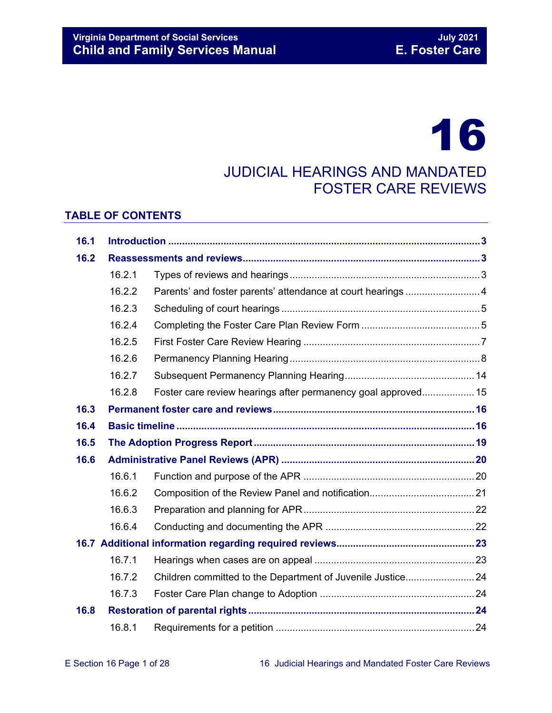# 16

# JUDICIAL HEARINGS AND MANDATED FOSTER CARE REVIEWS

#### **TABLE OF CONTENTS**

| 16.1 |        |                                                               |  |  |
|------|--------|---------------------------------------------------------------|--|--|
| 16.2 |        |                                                               |  |  |
|      | 16.2.1 |                                                               |  |  |
|      | 16.2.2 |                                                               |  |  |
|      | 16.2.3 |                                                               |  |  |
|      | 16.2.4 |                                                               |  |  |
|      | 16.2.5 |                                                               |  |  |
|      | 16.2.6 |                                                               |  |  |
|      | 16.2.7 |                                                               |  |  |
|      | 16.2.8 | Foster care review hearings after permanency goal approved 15 |  |  |
| 16.3 |        |                                                               |  |  |
| 16.4 |        |                                                               |  |  |
| 16.5 |        |                                                               |  |  |
| 16.6 |        |                                                               |  |  |
|      | 16.6.1 |                                                               |  |  |
|      | 16.6.2 |                                                               |  |  |
|      | 16.6.3 |                                                               |  |  |
|      | 16.6.4 |                                                               |  |  |
|      |        |                                                               |  |  |
|      | 16.7.1 |                                                               |  |  |
|      | 16.7.2 | Children committed to the Department of Juvenile Justice 24   |  |  |
|      | 16.7.3 |                                                               |  |  |
| 16.8 |        |                                                               |  |  |
|      | 16.8.1 |                                                               |  |  |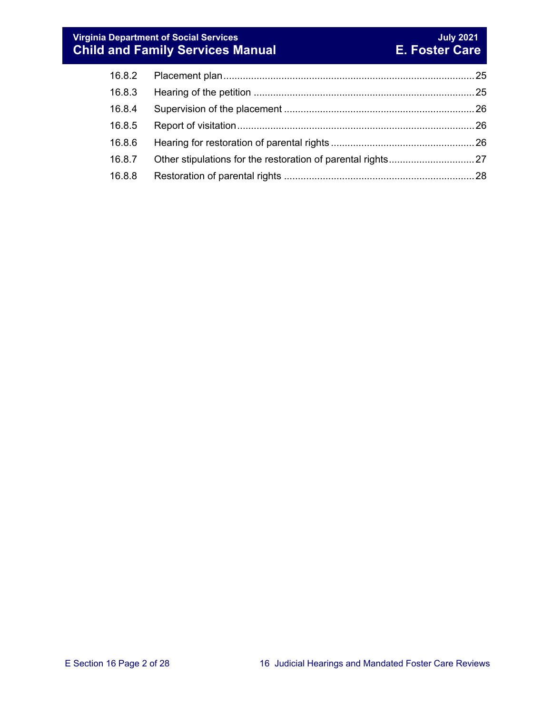#### **Virginia Department of Social Services July 2021 Child and Family Services Manual E. Foster Care**

| 16.8.3 |  |
|--------|--|
| 16.8.4 |  |
| 16.8.5 |  |
| 16.8.6 |  |
| 16.8.7 |  |
| 16.8.8 |  |
|        |  |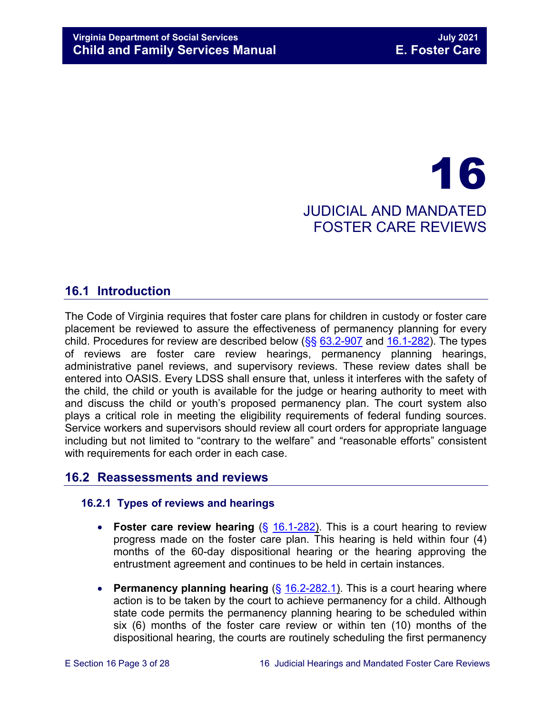# 16 JUDICIAL AND MANDATED FOSTER CARE REVIEWS

# <span id="page-2-0"></span>**16.1 Introduction**

The Code of Virginia requires that foster care plans for children in custody or foster care placement be reviewed to assure the effectiveness of permanency planning for every child. Procedures for review are described below  $(\frac{6}{5}, \frac{63.2-907}{6}]$  $(\frac{6}{5}, \frac{63.2-907}{6}]$  $(\frac{6}{5}, \frac{63.2-907}{6}]$  and  $16.1-282$ ). The types of reviews are foster care review hearings, permanency planning hearings, administrative panel reviews, and supervisory reviews. These review dates shall be entered into OASIS. Every LDSS shall ensure that, unless it interferes with the safety of the child, the child or youth is available for the judge or hearing authority to meet with and discuss the child or youth's proposed permanency plan. The court system also plays a critical role in meeting the eligibility requirements of federal funding sources. Service workers and supervisors should review all court orders for appropriate language including but not limited to "contrary to the welfare" and "reasonable efforts" consistent with requirements for each order in each case.

#### <span id="page-2-1"></span>**16.2 Reassessments and reviews**

#### <span id="page-2-2"></span>**16.2.1 Types of reviews and hearings**

- **Foster care review hearing** (§ [16.1-282\)](https://law.lis.virginia.gov/vacode/16.1-282/). This is a court hearing to review progress made on the foster care plan. This hearing is held within four (4) months of the 60-day dispositional hearing or the hearing approving the entrustment agreement and continues to be held in certain instances.
- **Permanency planning hearing** (§ [16.2-282.1\)](https://law.lis.virginia.gov/vacode/title16.1/chapter11/section16.1-282.1/). This is a court hearing where action is to be taken by the court to achieve permanency for a child. Although state code permits the permanency planning hearing to be scheduled within six (6) months of the foster care review or within ten (10) months of the dispositional hearing, the courts are routinely scheduling the first permanency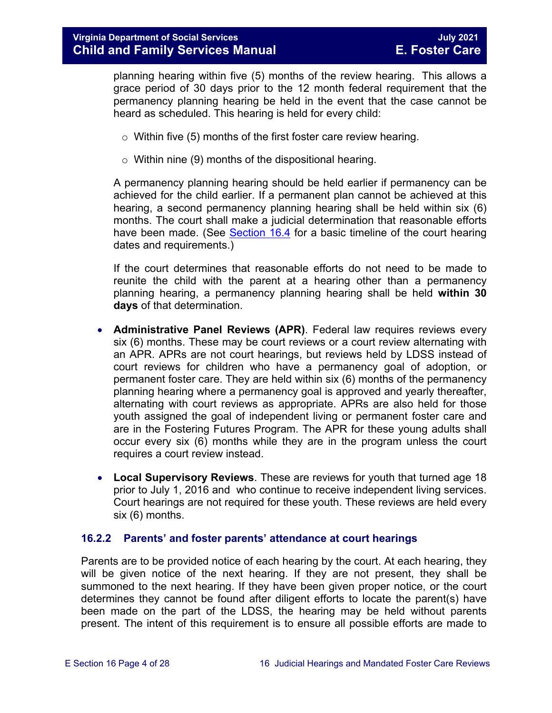planning hearing within five (5) months of the review hearing. This allows a grace period of 30 days prior to the 12 month federal requirement that the permanency planning hearing be held in the event that the case cannot be heard as scheduled. This hearing is held for every child:

- $\circ$  Within five (5) months of the first foster care review hearing.
- $\circ$  Within nine (9) months of the dispositional hearing.

A permanency planning hearing should be held earlier if permanency can be achieved for the child earlier. If a permanent plan cannot be achieved at this hearing, a second permanency planning hearing shall be held within six (6) months. The court shall make a judicial determination that reasonable efforts have been made. (See [Section 16.4](#page-15-1) for a basic timeline of the court hearing dates and requirements.)

If the court determines that reasonable efforts do not need to be made to reunite the child with the parent at a hearing other than a permanency planning hearing, a permanency planning hearing shall be held **within 30 days** of that determination.

- **Administrative Panel Reviews (APR)**. Federal law requires reviews every six (6) months. These may be court reviews or a court review alternating with an APR. APRs are not court hearings, but reviews held by LDSS instead of court reviews for children who have a permanency goal of adoption, or permanent foster care. They are held within six (6) months of the permanency planning hearing where a permanency goal is approved and yearly thereafter, alternating with court reviews as appropriate. APRs are also held for those youth assigned the goal of independent living or permanent foster care and are in the Fostering Futures Program. The APR for these young adults shall occur every six (6) months while they are in the program unless the court requires a court review instead.
- **Local Supervisory Reviews**. These are reviews for youth that turned age 18 prior to July 1, 2016 and who continue to receive independent living services. Court hearings are not required for these youth. These reviews are held every six (6) months.

#### <span id="page-3-0"></span>**16.2.2 Parents' and foster parents' attendance at court hearings**

Parents are to be provided notice of each hearing by the court. At each hearing, they will be given notice of the next hearing. If they are not present, they shall be summoned to the next hearing. If they have been given proper notice, or the court determines they cannot be found after diligent efforts to locate the parent(s) have been made on the part of the LDSS, the hearing may be held without parents present. The intent of this requirement is to ensure all possible efforts are made to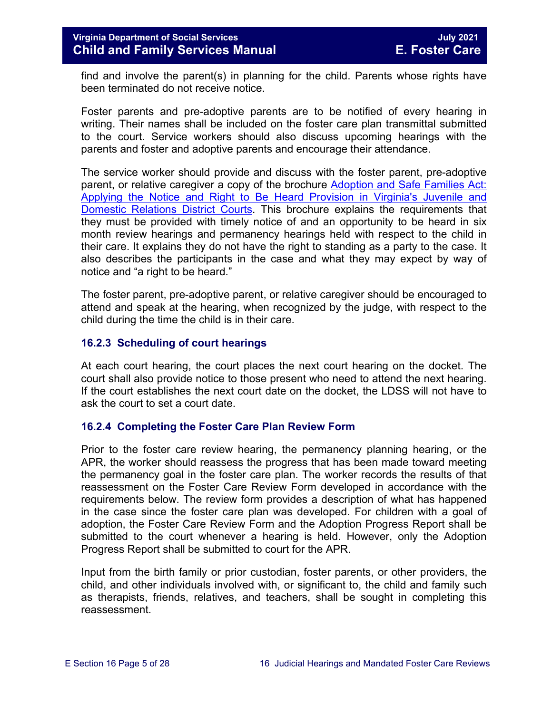find and involve the parent(s) in planning for the child. Parents whose rights have been terminated do not receive notice.

Foster parents and pre-adoptive parents are to be notified of every hearing in writing. Their names shall be included on the foster care plan transmittal submitted to the court. Service workers should also discuss upcoming hearings with the parents and foster and adoptive parents and encourage their attendance.

The service worker should provide and discuss with the foster parent, pre-adoptive parent, or relative caregiver a copy of the brochure [Adoption and Safe Families Act:](http://www.courts.state.va.us/courtadmin/aoc/cip/home.html)  [Applying the Notice and Right to Be Heard Provision in Virginia's Juvenile and](http://www.courts.state.va.us/courtadmin/aoc/cip/home.html)  [Domestic Relations District Courts.](http://www.courts.state.va.us/courtadmin/aoc/cip/home.html) This brochure explains the requirements that they must be provided with timely notice of and an opportunity to be heard in six month review hearings and permanency hearings held with respect to the child in their care. It explains they do not have the right to standing as a party to the case. It also describes the participants in the case and what they may expect by way of notice and "a right to be heard."

The foster parent, pre-adoptive parent, or relative caregiver should be encouraged to attend and speak at the hearing, when recognized by the judge, with respect to the child during the time the child is in their care.

#### <span id="page-4-0"></span>**16.2.3 Scheduling of court hearings**

At each court hearing, the court places the next court hearing on the docket. The court shall also provide notice to those present who need to attend the next hearing. If the court establishes the next court date on the docket, the LDSS will not have to ask the court to set a court date.

#### <span id="page-4-1"></span>**16.2.4 Completing the Foster Care Plan Review Form**

Prior to the foster care review hearing, the permanency planning hearing, or the APR, the worker should reassess the progress that has been made toward meeting the permanency goal in the foster care plan. The worker records the results of that reassessment on the Foster Care Review Form developed in accordance with the requirements below. The review form provides a description of what has happened in the case since the foster care plan was developed. For children with a goal of adoption, the Foster Care Review Form and the Adoption Progress Report shall be submitted to the court whenever a hearing is held. However, only the Adoption Progress Report shall be submitted to court for the APR.

Input from the birth family or prior custodian, foster parents, or other providers, the child, and other individuals involved with, or significant to, the child and family such as therapists, friends, relatives, and teachers, shall be sought in completing this reassessment.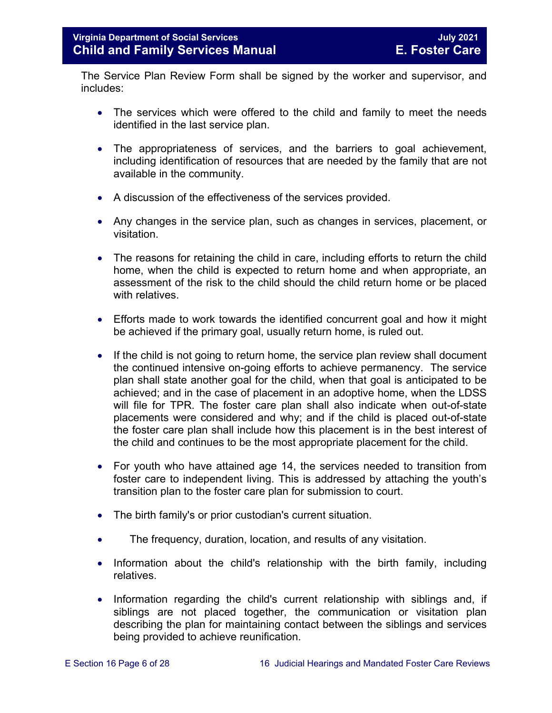The Service Plan Review Form shall be signed by the worker and supervisor, and includes:

- The services which were offered to the child and family to meet the needs identified in the last service plan.
- The appropriateness of services, and the barriers to goal achievement, including identification of resources that are needed by the family that are not available in the community.
- A discussion of the effectiveness of the services provided.
- Any changes in the service plan, such as changes in services, placement, or visitation.
- The reasons for retaining the child in care, including efforts to return the child home, when the child is expected to return home and when appropriate, an assessment of the risk to the child should the child return home or be placed with relatives.
- Efforts made to work towards the identified concurrent goal and how it might be achieved if the primary goal, usually return home, is ruled out.
- If the child is not going to return home, the service plan review shall document the continued intensive on-going efforts to achieve permanency. The service plan shall state another goal for the child, when that goal is anticipated to be achieved; and in the case of placement in an adoptive home, when the LDSS will file for TPR. The foster care plan shall also indicate when out-of-state placements were considered and why; and if the child is placed out-of-state the foster care plan shall include how this placement is in the best interest of the child and continues to be the most appropriate placement for the child.
- For youth who have attained age 14, the services needed to transition from foster care to independent living. This is addressed by attaching the youth's transition plan to the foster care plan for submission to court.
- The birth family's or prior custodian's current situation.
- The frequency, duration, location, and results of any visitation.
- Information about the child's relationship with the birth family, including relatives.
- Information regarding the child's current relationship with siblings and, if siblings are not placed together, the communication or visitation plan describing the plan for maintaining contact between the siblings and services being provided to achieve reunification.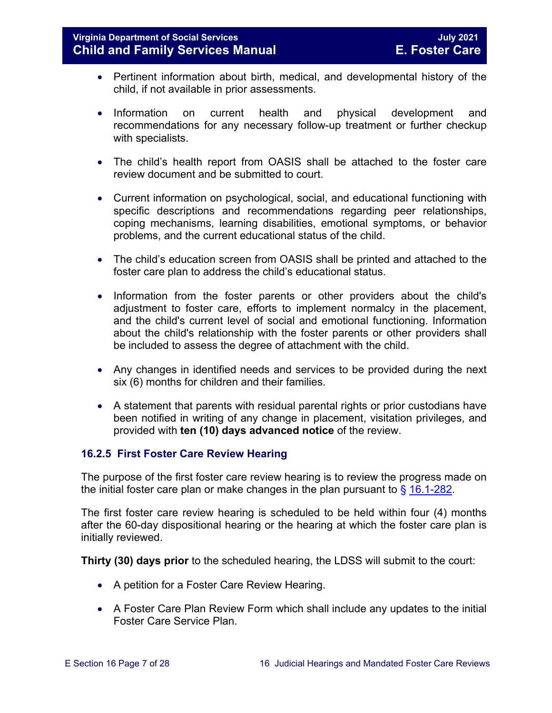- Pertinent information about birth, medical, and developmental history of the child, if not available in prior assessments.
- Information on current health and physical development and recommendations for any necessary follow-up treatment or further checkup with specialists.
- The child's health report from OASIS shall be attached to the foster care review document and be submitted to court.
- Current information on psychological, social, and educational functioning with specific descriptions and recommendations regarding peer relationships, coping mechanisms, learning disabilities, emotional symptoms, or behavior problems, and the current educational status of the child.
- The child's education screen from OASIS shall be printed and attached to the foster care plan to address the child's educational status.
- Information from the foster parents or other providers about the child's adjustment to foster care, efforts to implement normalcy in the placement, and the child's current level of social and emotional functioning. Information about the child's relationship with the foster parents or other providers shall be included to assess the degree of attachment with the child.
- Any changes in identified needs and services to be provided during the next six (6) months for children and their families.
- A statement that parents with residual parental rights or prior custodians have been notified in writing of any change in placement, visitation privileges, and provided with **ten (10) days advanced notice** of the review.

#### <span id="page-6-0"></span>**16.2.5 First Foster Care Review Hearing**

The purpose of the first foster care review hearing is to review the progress made on the initial foster care plan or make changes in the plan pursuant to  $\frac{6}{9}$  [16.1-282.](https://law.lis.virginia.gov/vacode/title16.1/chapter11/section16.1-282/)

The first foster care review hearing is scheduled to be held within four (4) months after the 60-day dispositional hearing or the hearing at which the foster care plan is initially reviewed.

**Thirty (30) days prior** to the scheduled hearing, the LDSS will submit to the court:

- A petition for a Foster Care Review Hearing.
- A Foster Care Plan Review Form which shall include any updates to the initial Foster Care Service Plan.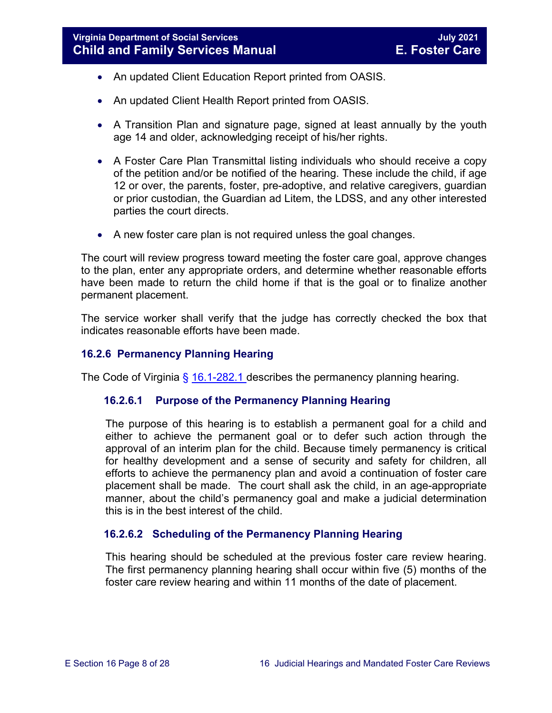- An updated Client Education Report printed from OASIS.
- An updated Client Health Report printed from OASIS.
- A Transition Plan and signature page, signed at least annually by the youth age 14 and older, acknowledging receipt of his/her rights.
- A Foster Care Plan Transmittal listing individuals who should receive a copy of the petition and/or be notified of the hearing. These include the child, if age 12 or over, the parents, foster, pre-adoptive, and relative caregivers, guardian or prior custodian, the Guardian ad Litem, the LDSS, and any other interested parties the court directs.
- A new foster care plan is not required unless the goal changes.

The court will review progress toward meeting the foster care goal, approve changes to the plan, enter any appropriate orders, and determine whether reasonable efforts have been made to return the child home if that is the goal or to finalize another permanent placement.

The service worker shall verify that the judge has correctly checked the box that indicates reasonable efforts have been made.

#### <span id="page-7-0"></span>**16.2.6 Permanency Planning Hearing**

The Code of Virginia  $\frac{6}{9}$  [16.1-282.1](https://law.lis.virginia.gov/vacode/16.1-282.1/) describes the permanency planning hearing.

#### **16.2.6.1 Purpose of the Permanency Planning Hearing**

The purpose of this hearing is to establish a permanent goal for a child and either to achieve the permanent goal or to defer such action through the approval of an interim plan for the child. Because timely permanency is critical for healthy development and a sense of security and safety for children, all efforts to achieve the permanency plan and avoid a continuation of foster care placement shall be made. The court shall ask the child, in an age-appropriate manner, about the child's permanency goal and make a judicial determination this is in the best interest of the child.

#### **16.2.6.2 Scheduling of the Permanency Planning Hearing**

This hearing should be scheduled at the previous foster care review hearing. The first permanency planning hearing shall occur within five (5) months of the foster care review hearing and within 11 months of the date of placement.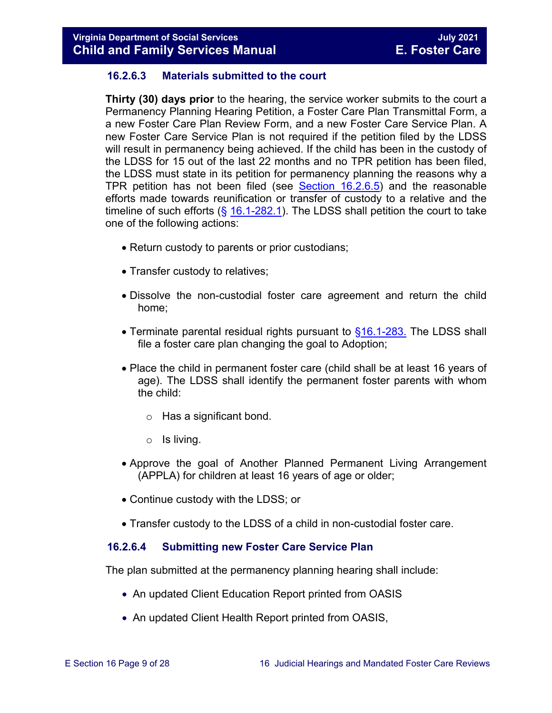#### **16.2.6.3 Materials submitted to the court**

**Thirty (30) days prior** to the hearing, the service worker submits to the court a Permanency Planning Hearing Petition, a Foster Care Plan Transmittal Form, a a new Foster Care Plan Review Form, and a new Foster Care Service Plan. A new Foster Care Service Plan is not required if the petition filed by the LDSS will result in permanency being achieved. If the child has been in the custody of the LDSS for 15 out of the last 22 months and no TPR petition has been filed, the LDSS must state in its petition for permanency planning the reasons why a TPR petition has not been filed (see [Section 16.2.6.5\)](#page-10-0) and the reasonable efforts made towards reunification or transfer of custody to a relative and the timeline of such efforts  $(§ 16.1-282.1)$  $(§ 16.1-282.1)$ . The LDSS shall petition the court to take one of the following actions:

- Return custody to parents or prior custodians;
- Transfer custody to relatives;
- Dissolve the non-custodial foster care agreement and return the child home;
- Terminate parental residual rights pursuant to  $§16.1-283$ . The LDSS shall file a foster care plan changing the goal to Adoption;
- Place the child in permanent foster care (child shall be at least 16 years of age). The LDSS shall identify the permanent foster parents with whom the child:
	- o Has a significant bond.
	- o Is living.
- Approve the goal of Another Planned Permanent Living Arrangement (APPLA) for children at least 16 years of age or older;
- Continue custody with the LDSS; or
- Transfer custody to the LDSS of a child in non-custodial foster care.

#### **16.2.6.4 Submitting new Foster Care Service Plan**

The plan submitted at the permanency planning hearing shall include:

- An updated Client Education Report printed from OASIS
- An updated Client Health Report printed from OASIS,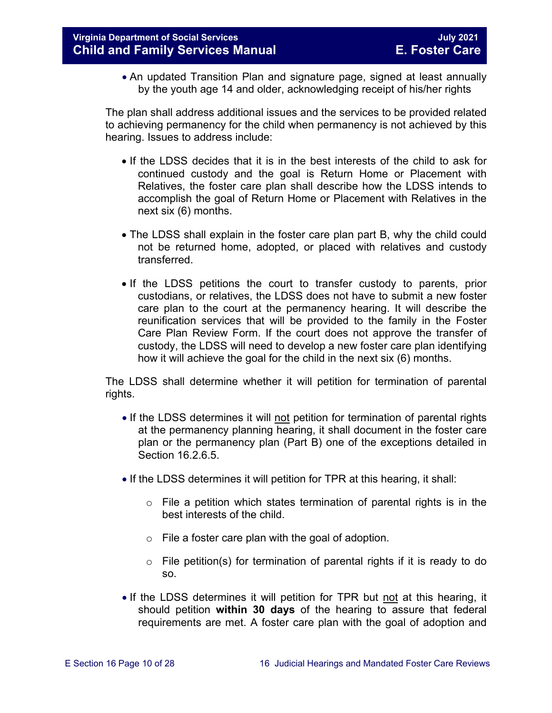• An updated Transition Plan and signature page, signed at least annually by the youth age 14 and older, acknowledging receipt of his/her rights

The plan shall address additional issues and the services to be provided related to achieving permanency for the child when permanency is not achieved by this hearing. Issues to address include:

- If the LDSS decides that it is in the best interests of the child to ask for continued custody and the goal is Return Home or Placement with Relatives, the foster care plan shall describe how the LDSS intends to accomplish the goal of Return Home or Placement with Relatives in the next six (6) months.
- The LDSS shall explain in the foster care plan part B, why the child could not be returned home, adopted, or placed with relatives and custody transferred.
- If the LDSS petitions the court to transfer custody to parents, prior custodians, or relatives, the LDSS does not have to submit a new foster care plan to the court at the permanency hearing. It will describe the reunification services that will be provided to the family in the Foster Care Plan Review Form. If the court does not approve the transfer of custody, the LDSS will need to develop a new foster care plan identifying how it will achieve the goal for the child in the next six (6) months.

The LDSS shall determine whether it will petition for termination of parental rights.

- If the LDSS determines it will not petition for termination of parental rights at the permanency planning hearing, it shall document in the foster care plan or the permanency plan (Part B) one of the exceptions detailed in Section 16.2.6.5.
- If the LDSS determines it will petition for TPR at this hearing, it shall:
	- $\circ$  File a petition which states termination of parental rights is in the best interests of the child.
	- $\circ$  File a foster care plan with the goal of adoption.
	- o File petition(s) for termination of parental rights if it is ready to do so.
- If the LDSS determines it will petition for TPR but not at this hearing, it should petition **within 30 days** of the hearing to assure that federal requirements are met. A foster care plan with the goal of adoption and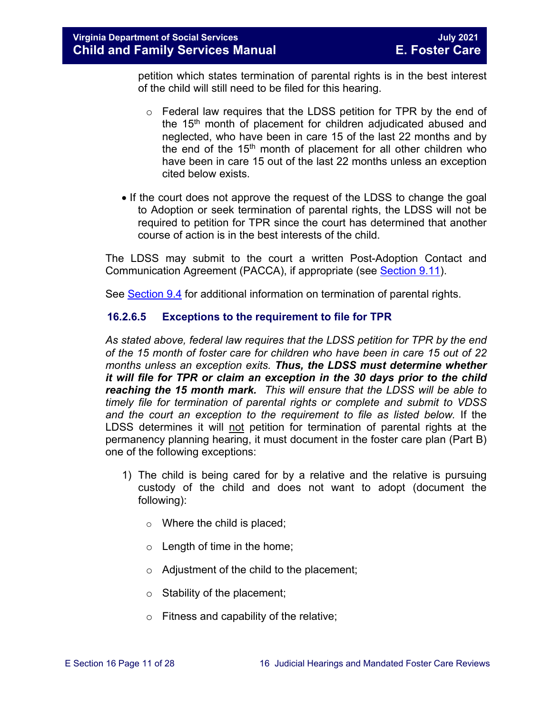petition which states termination of parental rights is in the best interest of the child will still need to be filed for this hearing.

- $\circ$  Federal law requires that the LDSS petition for TPR by the end of the 15<sup>th</sup> month of placement for children adjudicated abused and neglected, who have been in care 15 of the last 22 months and by the end of the  $15<sup>th</sup>$  month of placement for all other children who have been in care 15 out of the last 22 months unless an exception cited below exists.
- If the court does not approve the request of the LDSS to change the goal to Adoption or seek termination of parental rights, the LDSS will not be required to petition for TPR since the court has determined that another course of action is in the best interests of the child.

The LDSS may submit to the court a written Post-Adoption Contact and Communication Agreement (PACCA), if appropriate (see [Section 9.11\)](https://fusion.dss.virginia.gov/Portals/%5bdfs%5d/Files/DFS%20Manuals/Foster%20Care%20Manuals/Foster%20Care%20Manual%2007-2020/Final%20Foster%20Care%20Manual%2007-2020/section_9_achieving_permanency_goal_adoption.pdf#page=33).

See [Section 9.4](https://fusion.dss.virginia.gov/Portals/%5bdfs%5d/Files/DFS%20Manuals/Foster%20Care%20Manuals/Foster%20Care%20Manual%2007-2020/Final%20Foster%20Care%20Manual%2007-2020/section_9_achieving_permanency_goal_adoption.pdf#page=5) for additional information on termination of parental rights.

#### <span id="page-10-0"></span>**16.2.6.5 Exceptions to the requirement to file for TPR**

*As stated above, federal law requires that the LDSS petition for TPR by the end of the 15 month of foster care for children who have been in care 15 out of 22 months unless an exception exits. Thus, the LDSS must determine whether it will file for TPR or claim an exception in the 30 days prior to the child reaching the 15 month mark. This will ensure that the LDSS will be able to timely file for termination of parental rights or complete and submit to VDSS and the court an exception to the requirement to file as listed below.* If the LDSS determines it will not petition for termination of parental rights at the permanency planning hearing, it must document in the foster care plan (Part B) one of the following exceptions:

- 1) The child is being cared for by a relative and the relative is pursuing custody of the child and does not want to adopt (document the following):
	- o Where the child is placed;
	- $\circ$  Length of time in the home;
	- $\circ$  Adjustment of the child to the placement;
	- $\circ$  Stability of the placement;
	- $\circ$  Fitness and capability of the relative;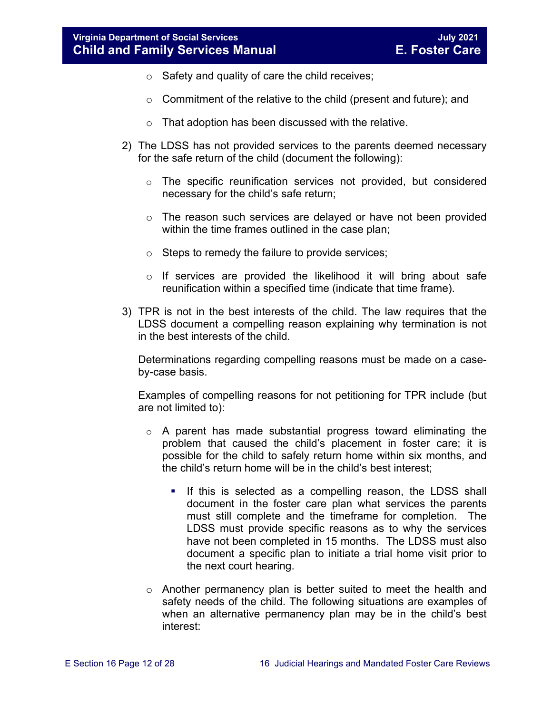- $\circ$  Safety and quality of care the child receives;
- o Commitment of the relative to the child (present and future); and
- o That adoption has been discussed with the relative.
- 2) The LDSS has not provided services to the parents deemed necessary for the safe return of the child (document the following):
	- $\circ$  The specific reunification services not provided, but considered necessary for the child's safe return;
	- $\circ$  The reason such services are delayed or have not been provided within the time frames outlined in the case plan;
	- o Steps to remedy the failure to provide services;
	- $\circ$  If services are provided the likelihood it will bring about safe reunification within a specified time (indicate that time frame).
- 3) TPR is not in the best interests of the child. The law requires that the LDSS document a compelling reason explaining why termination is not in the best interests of the child.

Determinations regarding compelling reasons must be made on a caseby-case basis.

Examples of compelling reasons for not petitioning for TPR include (but are not limited to):

- o A parent has made substantial progress toward eliminating the problem that caused the child's placement in foster care; it is possible for the child to safely return home within six months, and the child's return home will be in the child's best interest;
	- **If this is selected as a compelling reason, the LDSS shall** document in the foster care plan what services the parents must still complete and the timeframe for completion. The LDSS must provide specific reasons as to why the services have not been completed in 15 months. The LDSS must also document a specific plan to initiate a trial home visit prior to the next court hearing.
- o Another permanency plan is better suited to meet the health and safety needs of the child. The following situations are examples of when an alternative permanency plan may be in the child's best interest: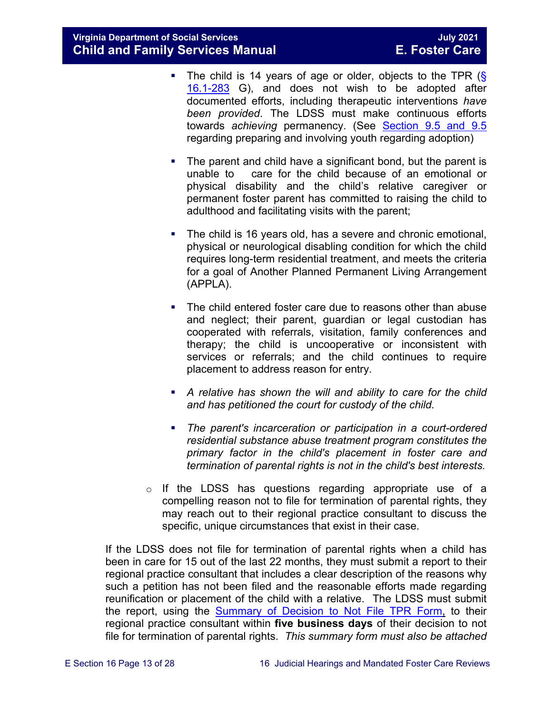- The child is 14 years of age or older, objects to the TPR  $(\S$ [16.1-283](https://law.lis.virginia.gov/vacode/title16.1/chapter11/section16.1-283/) G), and does not wish to be adopted after documented efforts, including therapeutic interventions *have been provided*. The LDSS must make continuous efforts towards *achieving* permanency. (See [Section 9.5 and 9.5](https://fusion.dss.virginia.gov/Portals/%5bdfs%5d/Files/DFS%20Manuals/Foster%20Care%20Manuals/Foster%20Care%20Manual%2007-2020/Final%20Foster%20Care%20Manual%2007-2020/section_9_achieving_permanency_goal_adoption.pdf#page=17) regarding preparing and involving youth regarding adoption)
- The parent and child have a significant bond, but the parent is unable to care for the child because of an emotional or physical disability and the child's relative caregiver or permanent foster parent has committed to raising the child to adulthood and facilitating visits with the parent;
- The child is 16 years old, has a severe and chronic emotional, physical or neurological disabling condition for which the child requires long-term residential treatment, and meets the criteria for a goal of Another Planned Permanent Living Arrangement (APPLA).
- The child entered foster care due to reasons other than abuse and neglect; their parent, guardian or legal custodian has cooperated with referrals, visitation, family conferences and therapy; the child is uncooperative or inconsistent with services or referrals; and the child continues to require placement to address reason for entry.
- **A** relative has shown the will and ability to care for the child *and has petitioned the court for custody of the child.*
- *The parent's incarceration or participation in a court-ordered residential substance abuse treatment program constitutes the primary factor in the child's placement in foster care and termination of parental rights is not in the child's best interests.*
- $\circ$  If the LDSS has questions regarding appropriate use of a compelling reason not to file for termination of parental rights, they may reach out to their regional practice consultant to discuss the specific, unique circumstances that exist in their case.

If the LDSS does not file for termination of parental rights when a child has been in care for 15 out of the last 22 months, they must submit a report to their regional practice consultant that includes a clear description of the reasons why such a petition has not been filed and the reasonable efforts made regarding reunification or placement of the child with a relative. The LDSS must submit the report, using the [Summary of Decision to Not File TPR Form,](https://fusion.dss.virginia.gov/Portals/%5bdfs%5d/Files/DFS%20FORMS/Foster%20Care%20Forms/Summary%20of%20Decision%20Not%20to%20File%20for%20TPR%20with%20Instructions.pdf) to their regional practice consultant within **five business days** of their decision to not file for termination of parental rights. *This summary form must also be attached*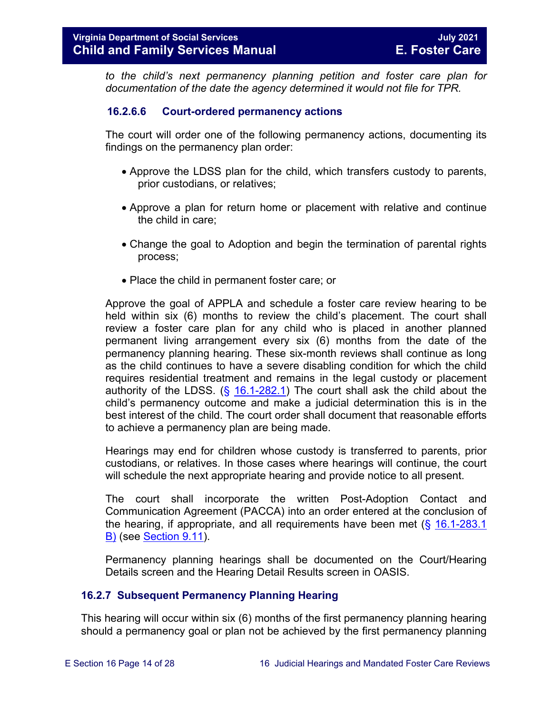*to the child's next permanency planning petition and foster care plan for documentation of the date the agency determined it would not file for TPR.* 

#### **16.2.6.6 Court-ordered permanency actions**

The court will order one of the following permanency actions, documenting its findings on the permanency plan order:

- Approve the LDSS plan for the child, which transfers custody to parents, prior custodians, or relatives;
- Approve a plan for return home or placement with relative and continue the child in care;
- Change the goal to Adoption and begin the termination of parental rights process;
- Place the child in permanent foster care; or

Approve the goal of APPLA and schedule a foster care review hearing to be held within six (6) months to review the child's placement. The court shall review a foster care plan for any child who is placed in another planned permanent living arrangement every six (6) months from the date of the permanency planning hearing. These six-month reviews shall continue as long as the child continues to have a severe disabling condition for which the child requires residential treatment and remains in the legal custody or placement authority of the LDSS.  $(\frac{6}{9}$  [16.1-282.1\)](https://law.lis.virginia.gov/vacode/16.1-282.1/) The court shall ask the child about the child's permanency outcome and make a judicial determination this is in the best interest of the child. The court order shall document that reasonable efforts to achieve a permanency plan are being made.

Hearings may end for children whose custody is transferred to parents, prior custodians, or relatives. In those cases where hearings will continue, the court will schedule the next appropriate hearing and provide notice to all present.

The court shall incorporate the written Post-Adoption Contact and Communication Agreement (PACCA) into an order entered at the conclusion of the hearing, if appropriate, and all requirements have been met (§ [16.1-283.1](https://law.lis.virginia.gov/vacode/16.1-283.1/)  [B\)](https://law.lis.virginia.gov/vacode/16.1-283.1/) (see [Section 9.11\)](https://fusion.dss.virginia.gov/Portals/%5bdfs%5d/Files/DFS%20Manuals/Foster%20Care%20Manuals/Foster%20Care%20Manual%2007-2020/Final%20Foster%20Care%20Manual%2007-2020/section_9_achieving_permanency_goal_adoption.pdf#page=33).

Permanency planning hearings shall be documented on the Court/Hearing Details screen and the Hearing Detail Results screen in OASIS.

#### <span id="page-13-0"></span>**16.2.7 Subsequent Permanency Planning Hearing**

This hearing will occur within six (6) months of the first permanency planning hearing should a permanency goal or plan not be achieved by the first permanency planning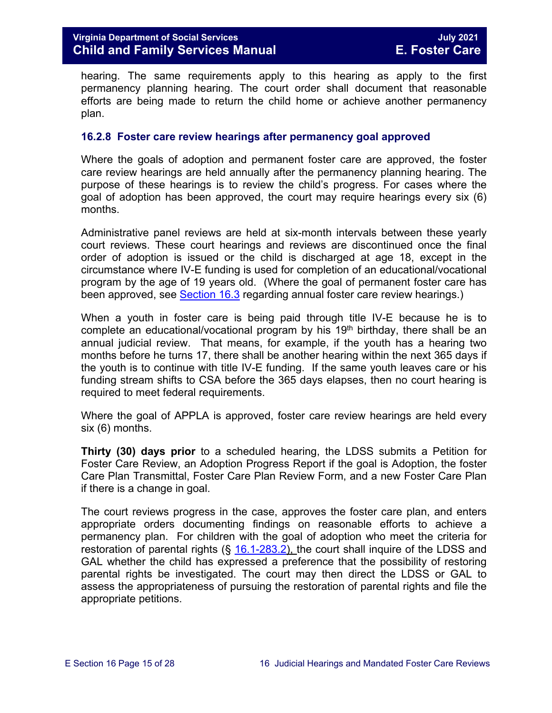hearing. The same requirements apply to this hearing as apply to the first permanency planning hearing. The court order shall document that reasonable efforts are being made to return the child home or achieve another permanency plan.

#### <span id="page-14-0"></span>**16.2.8 Foster care review hearings after permanency goal approved**

Where the goals of adoption and permanent foster care are approved, the foster care review hearings are held annually after the permanency planning hearing. The purpose of these hearings is to review the child's progress. For cases where the goal of adoption has been approved, the court may require hearings every six (6) months.

Administrative panel reviews are held at six-month intervals between these yearly court reviews. These court hearings and reviews are discontinued once the final order of adoption is issued or the child is discharged at age 18, except in the circumstance where IV-E funding is used for completion of an educational/vocational program by the age of 19 years old. (Where the goal of permanent foster care has been approved, see **Section 16.3** regarding annual foster care review hearings.)

When a youth in foster care is being paid through title IV-E because he is to complete an educational/vocational program by his  $19<sup>th</sup>$  birthday, there shall be an annual judicial review. That means, for example, if the youth has a hearing two months before he turns 17, there shall be another hearing within the next 365 days if the youth is to continue with title IV-E funding. If the same youth leaves care or his funding stream shifts to CSA before the 365 days elapses, then no court hearing is required to meet federal requirements.

Where the goal of APPLA is approved, foster care review hearings are held every six (6) months.

**Thirty (30) days prior** to a scheduled hearing, the LDSS submits a Petition for Foster Care Review, an Adoption Progress Report if the goal is Adoption, the foster Care Plan Transmittal, Foster Care Plan Review Form, and a new Foster Care Plan if there is a change in goal.

The court reviews progress in the case, approves the foster care plan, and enters appropriate orders documenting findings on reasonable efforts to achieve a permanency plan. For children with the goal of adoption who meet the criteria for restoration of parental rights  $(\S$  [16.1-283.2\)](https://law.lis.virginia.gov/vacode/16.1-283.2/), the court shall inquire of the LDSS and GAL whether the child has expressed a preference that the possibility of restoring parental rights be investigated. The court may then direct the LDSS or GAL to assess the appropriateness of pursuing the restoration of parental rights and file the appropriate petitions.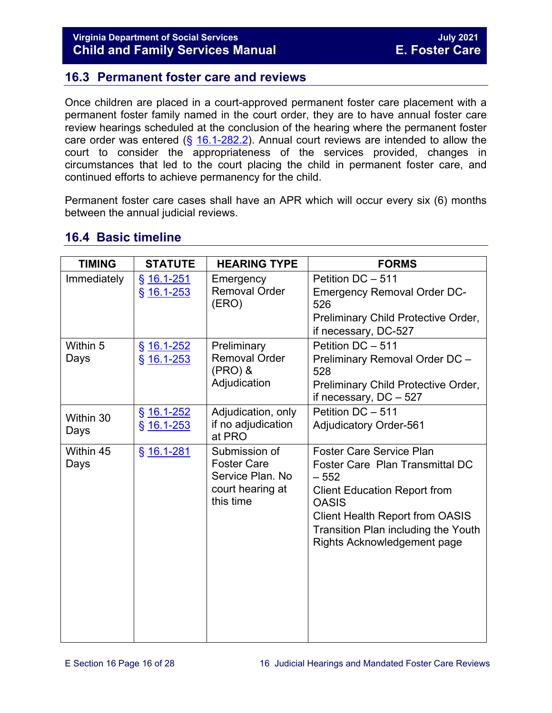# <span id="page-15-0"></span>**16.3 Permanent foster care and reviews**

Once children are placed in a court-approved permanent foster care placement with a permanent foster family named in the court order, they are to have annual foster care review hearings scheduled at the conclusion of the hearing where the permanent foster care order was entered  $(\frac{25}{16.1} - \frac{282.2}{16.1})$ . Annual court reviews are intended to allow the court to consider the appropriateness of the services provided, changes in circumstances that led to the court placing the child in permanent foster care, and continued efforts to achieve permanency for the child.

Permanent foster care cases shall have an APR which will occur every six (6) months between the annual judicial reviews.

| <b>TIMING</b>     | <b>STATUTE</b>               | <b>HEARING TYPE</b>                                                                      | <b>FORMS</b>                                                                                                                                                                                                                                        |
|-------------------|------------------------------|------------------------------------------------------------------------------------------|-----------------------------------------------------------------------------------------------------------------------------------------------------------------------------------------------------------------------------------------------------|
| Immediately       | § 16.1-251<br>$§$ 16.1-253   | Emergency<br><b>Removal Order</b><br>(ERO)                                               | Petition DC - 511<br><b>Emergency Removal Order DC-</b><br>526<br>Preliminary Child Protective Order,<br>if necessary, DC-527                                                                                                                       |
| Within 5<br>Days  | $§$ 16.1-252<br>$§$ 16.1-253 | Preliminary<br><b>Removal Order</b><br>(PRO) &<br>Adjudication                           | Petition DC - 511<br>Preliminary Removal Order DC -<br>528<br>Preliminary Child Protective Order,<br>if necessary, $DC - 527$                                                                                                                       |
| Within 30<br>Days | $§$ 16.1-252<br>$§$ 16.1-253 | Adjudication, only<br>if no adjudication<br>at PRO                                       | Petition DC - 511<br><b>Adjudicatory Order-561</b>                                                                                                                                                                                                  |
| Within 45<br>Days | § 16.1-281                   | Submission of<br><b>Foster Care</b><br>Service Plan, No<br>court hearing at<br>this time | <b>Foster Care Service Plan</b><br>Foster Care Plan Transmittal DC<br>$-552$<br><b>Client Education Report from</b><br><b>OASIS</b><br><b>Client Health Report from OASIS</b><br>Transition Plan including the Youth<br>Rights Acknowledgement page |

## <span id="page-15-1"></span>**16.4 Basic timeline**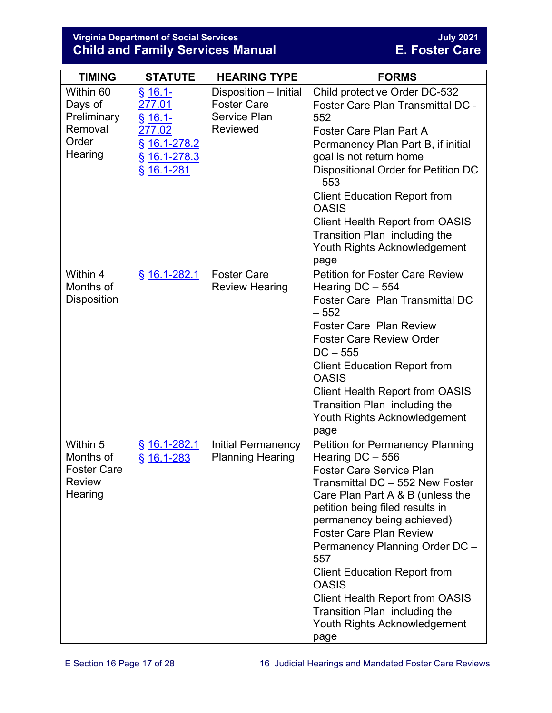#### **Virginia Department of Social Services July 2021 Child and Family Services Manual E. Foster Care**

| <b>TIMING</b>                                                           | <b>STATUTE</b>                                                                                  | <b>HEARING TYPE</b>                                                                   | <b>FORMS</b>                                                                                                                                                                                                                                                                                                                                                                                                                                                                                |
|-------------------------------------------------------------------------|-------------------------------------------------------------------------------------------------|---------------------------------------------------------------------------------------|---------------------------------------------------------------------------------------------------------------------------------------------------------------------------------------------------------------------------------------------------------------------------------------------------------------------------------------------------------------------------------------------------------------------------------------------------------------------------------------------|
| Within 60<br>Days of<br>Preliminary<br>Removal<br>Order<br>Hearing      | <u>§ 16.1-</u><br>277.01<br>$§ 16.1-$<br>277.02<br>§ 16.1-278.2<br>§ 16.1-278.3<br>$§$ 16.1-281 | Disposition - Initial<br><b>Foster Care</b><br><b>Service Plan</b><br><b>Reviewed</b> | Child protective Order DC-532<br>Foster Care Plan Transmittal DC -<br>552<br>Foster Care Plan Part A<br>Permanency Plan Part B, if initial<br>goal is not return home<br>Dispositional Order for Petition DC<br>$-553$<br><b>Client Education Report from</b><br><b>OASIS</b><br><b>Client Health Report from OASIS</b><br>Transition Plan including the<br>Youth Rights Acknowledgement<br>page                                                                                            |
| Within 4<br>Months of<br>Disposition                                    | § 16.1-282.1                                                                                    | <b>Foster Care</b><br><b>Review Hearing</b>                                           | <b>Petition for Foster Care Review</b><br>Hearing DC - 554<br>Foster Care Plan Transmittal DC<br>$-552$<br><b>Foster Care Plan Review</b><br><b>Foster Care Review Order</b><br>$DC - 555$<br><b>Client Education Report from</b><br><b>OASIS</b><br><b>Client Health Report from OASIS</b><br>Transition Plan including the<br>Youth Rights Acknowledgement<br>page                                                                                                                        |
| Within 5<br>Months of<br><b>Foster Care</b><br><b>Review</b><br>Hearing | $§$ 16.1-282.1<br>$§$ 16.1-283                                                                  | <b>Initial Permanency</b><br><b>Planning Hearing</b>                                  | <b>Petition for Permanency Planning</b><br>Hearing DC - 556<br><b>Foster Care Service Plan</b><br>Transmittal DC - 552 New Foster<br>Care Plan Part A & B (unless the<br>petition being filed results in<br>permanency being achieved)<br><b>Foster Care Plan Review</b><br>Permanency Planning Order DC -<br>557<br><b>Client Education Report from</b><br><b>OASIS</b><br><b>Client Health Report from OASIS</b><br>Transition Plan including the<br>Youth Rights Acknowledgement<br>page |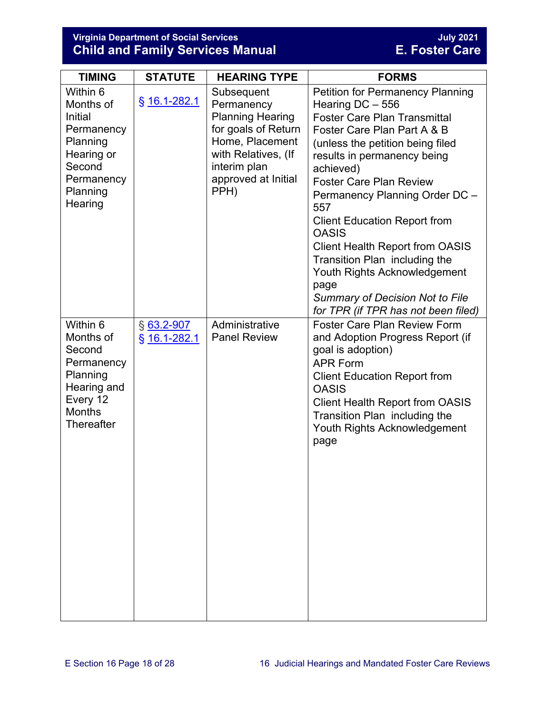#### **Virginia Department of Social Services July 2021 Child and Family Services Manual E. Foster Care**

| <b>TIMING</b>                                                                                                              | <b>STATUTE</b>               | <b>HEARING TYPE</b>                                                                                                                                                 | <b>FORMS</b>                                                                                                                                                                                                                                                                                                                                                                                                                                                                                                                                              |
|----------------------------------------------------------------------------------------------------------------------------|------------------------------|---------------------------------------------------------------------------------------------------------------------------------------------------------------------|-----------------------------------------------------------------------------------------------------------------------------------------------------------------------------------------------------------------------------------------------------------------------------------------------------------------------------------------------------------------------------------------------------------------------------------------------------------------------------------------------------------------------------------------------------------|
| Within 6<br>Months of<br>Initial<br>Permanency<br>Planning<br>Hearing or<br>Second<br>Permanency<br>Planning<br>Hearing    | $§$ 16.1-282.1               | Subsequent<br>Permanency<br><b>Planning Hearing</b><br>for goals of Return<br>Home, Placement<br>with Relatives, (If<br>interim plan<br>approved at Initial<br>PPH) | <b>Petition for Permanency Planning</b><br>Hearing $DC - 556$<br><b>Foster Care Plan Transmittal</b><br>Foster Care Plan Part A & B<br>(unless the petition being filed<br>results in permanency being<br>achieved)<br><b>Foster Care Plan Review</b><br>Permanency Planning Order DC -<br>557<br><b>Client Education Report from</b><br><b>OASIS</b><br><b>Client Health Report from OASIS</b><br>Transition Plan including the<br>Youth Rights Acknowledgement<br>page<br><b>Summary of Decision Not to File</b><br>for TPR (if TPR has not been filed) |
| Within 6<br>Months of<br>Second<br>Permanency<br>Planning<br>Hearing and<br>Every 12<br><b>Months</b><br><b>Thereafter</b> | $§$ 63.2-907<br>§ 16.1-282.1 | Administrative<br><b>Panel Review</b>                                                                                                                               | <b>Foster Care Plan Review Form</b><br>and Adoption Progress Report (if<br>goal is adoption)<br><b>APR Form</b><br><b>Client Education Report from</b><br><b>OASIS</b><br><b>Client Health Report from OASIS</b><br>Transition Plan including the<br>Youth Rights Acknowledgement<br>page                                                                                                                                                                                                                                                                 |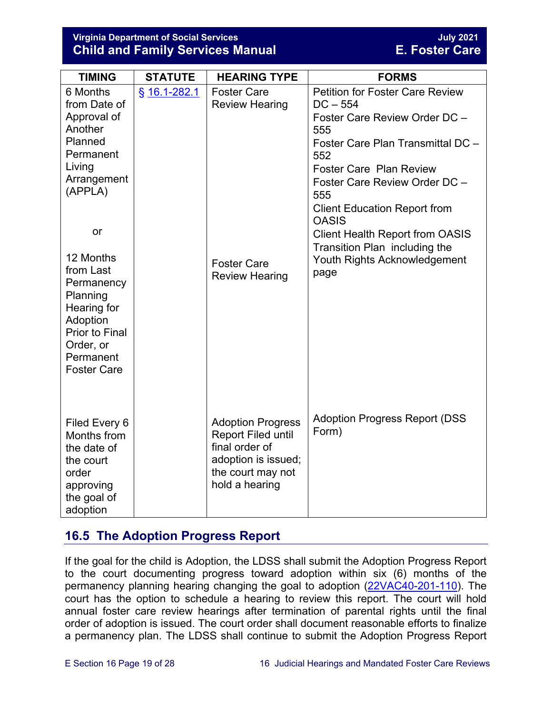#### **Virginia Department of Social Services July 2021 Child and Family Services Manual**

| <b>TIMING</b>                                                                                                                                                | <b>STATUTE</b> | <b>HEARING TYPE</b>                                                                                                                   | <b>FORMS</b>                                                                                                                                                                                                                                                                                                                                                                                 |
|--------------------------------------------------------------------------------------------------------------------------------------------------------------|----------------|---------------------------------------------------------------------------------------------------------------------------------------|----------------------------------------------------------------------------------------------------------------------------------------------------------------------------------------------------------------------------------------------------------------------------------------------------------------------------------------------------------------------------------------------|
| 6 Months<br>from Date of<br>Approval of<br>Another<br>Planned<br>Permanent<br>Living<br>Arrangement<br>(APPLA)<br>or<br>12 Months<br>from Last<br>Permanency | § 16.1-282.1   | <b>Foster Care</b><br><b>Review Hearing</b><br><b>Foster Care</b><br><b>Review Hearing</b>                                            | <b>Petition for Foster Care Review</b><br>$DC - 554$<br>Foster Care Review Order DC -<br>555<br>Foster Care Plan Transmittal DC -<br>552<br><b>Foster Care Plan Review</b><br>Foster Care Review Order DC -<br>555<br><b>Client Education Report from</b><br><b>OASIS</b><br><b>Client Health Report from OASIS</b><br>Transition Plan including the<br>Youth Rights Acknowledgement<br>page |
| Planning<br>Hearing for<br>Adoption<br><b>Prior to Final</b><br>Order, or<br>Permanent<br><b>Foster Care</b>                                                 |                |                                                                                                                                       |                                                                                                                                                                                                                                                                                                                                                                                              |
| Filed Every 6<br>Months from<br>the date of<br>the court<br>order<br>approving<br>the goal of<br>adoption                                                    |                | <b>Adoption Progress</b><br><b>Report Filed until</b><br>final order of<br>adoption is issued;<br>the court may not<br>hold a hearing | <b>Adoption Progress Report (DSS)</b><br>Form)                                                                                                                                                                                                                                                                                                                                               |

# <span id="page-18-0"></span>**16.5 The Adoption Progress Report**

If the goal for the child is Adoption, the LDSS shall submit the Adoption Progress Report to the court documenting progress toward adoption within six (6) months of the permanency planning hearing changing the goal to adoption [\(22VAC40-201-110\)](https://law.lis.virginia.gov/admincode/title22/agency40/chapter201/section110/). The court has the option to schedule a hearing to review this report. The court will hold annual foster care review hearings after termination of parental rights until the final order of adoption is issued. The court order shall document reasonable efforts to finalize a permanency plan. The LDSS shall continue to submit the Adoption Progress Report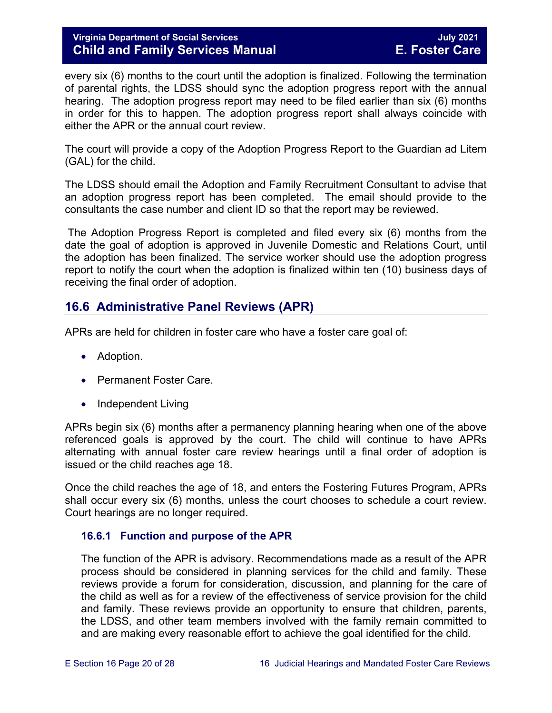every six (6) months to the court until the adoption is finalized. Following the termination of parental rights, the LDSS should sync the adoption progress report with the annual hearing. The adoption progress report may need to be filed earlier than six (6) months in order for this to happen. The adoption progress report shall always coincide with either the APR or the annual court review.

The court will provide a copy of the Adoption Progress Report to the Guardian ad Litem (GAL) for the child.

The LDSS should email the Adoption and Family Recruitment Consultant to advise that an adoption progress report has been completed. The email should provide to the consultants the case number and client ID so that the report may be reviewed.

The Adoption Progress Report is completed and filed every six (6) months from the date the goal of adoption is approved in Juvenile Domestic and Relations Court, until the adoption has been finalized. The service worker should use the adoption progress report to notify the court when the adoption is finalized within ten (10) business days of receiving the final order of adoption.

# <span id="page-19-0"></span>**16.6 Administrative Panel Reviews (APR)**

APRs are held for children in foster care who have a foster care goal of:

- Adoption.
- Permanent Foster Care.
- Independent Living

APRs begin six (6) months after a permanency planning hearing when one of the above referenced goals is approved by the court. The child will continue to have APRs alternating with annual foster care review hearings until a final order of adoption is issued or the child reaches age 18.

Once the child reaches the age of 18, and enters the Fostering Futures Program, APRs shall occur every six (6) months, unless the court chooses to schedule a court review. Court hearings are no longer required.

#### <span id="page-19-1"></span>**16.6.1 Function and purpose of the APR**

The function of the APR is advisory. Recommendations made as a result of the APR process should be considered in planning services for the child and family. These reviews provide a forum for consideration, discussion, and planning for the care of the child as well as for a review of the effectiveness of service provision for the child and family. These reviews provide an opportunity to ensure that children, parents, the LDSS, and other team members involved with the family remain committed to and are making every reasonable effort to achieve the goal identified for the child.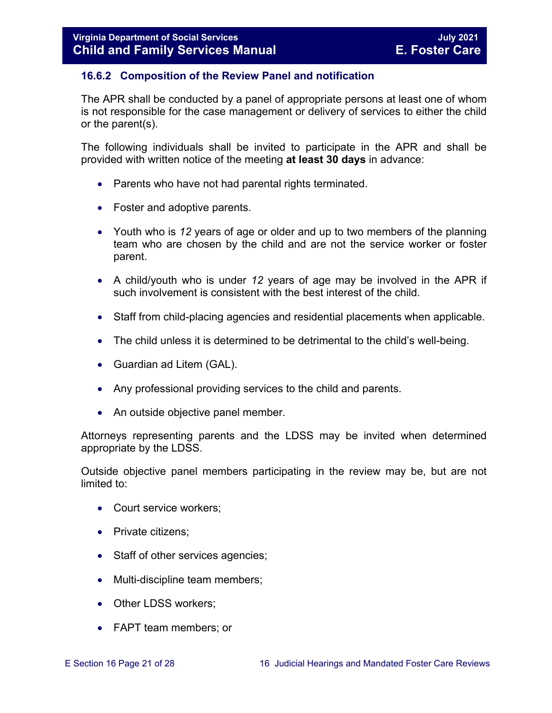#### <span id="page-20-0"></span>**16.6.2 Composition of the Review Panel and notification**

The APR shall be conducted by a panel of appropriate persons at least one of whom is not responsible for the case management or delivery of services to either the child or the parent(s).

The following individuals shall be invited to participate in the APR and shall be provided with written notice of the meeting **at least 30 days** in advance:

- Parents who have not had parental rights terminated.
- Foster and adoptive parents.
- Youth who is *12* years of age or older and up to two members of the planning team who are chosen by the child and are not the service worker or foster parent.
- A child/youth who is under *12* years of age may be involved in the APR if such involvement is consistent with the best interest of the child.
- Staff from child-placing agencies and residential placements when applicable.
- The child unless it is determined to be detrimental to the child's well-being.
- Guardian ad Litem (GAL).
- Any professional providing services to the child and parents.
- An outside objective panel member.

Attorneys representing parents and the LDSS may be invited when determined appropriate by the LDSS.

Outside objective panel members participating in the review may be, but are not limited to:

- Court service workers;
- Private citizens:
- Staff of other services agencies;
- Multi-discipline team members;
- Other LDSS workers;
- FAPT team members; or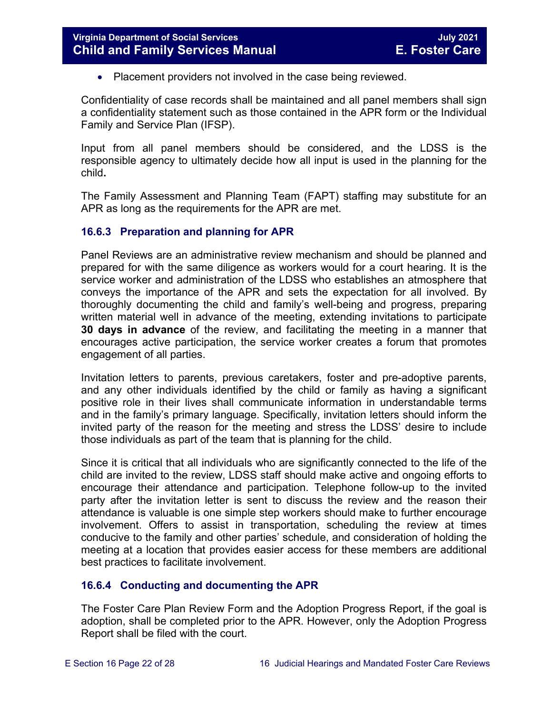• Placement providers not involved in the case being reviewed.

Confidentiality of case records shall be maintained and all panel members shall sign a confidentiality statement such as those contained in the APR form or the Individual Family and Service Plan (IFSP).

Input from all panel members should be considered, and the LDSS is the responsible agency to ultimately decide how all input is used in the planning for the child**.** 

The Family Assessment and Planning Team (FAPT) staffing may substitute for an APR as long as the requirements for the APR are met.

#### <span id="page-21-0"></span>**16.6.3 Preparation and planning for APR**

Panel Reviews are an administrative review mechanism and should be planned and prepared for with the same diligence as workers would for a court hearing. It is the service worker and administration of the LDSS who establishes an atmosphere that conveys the importance of the APR and sets the expectation for all involved. By thoroughly documenting the child and family's well-being and progress, preparing written material well in advance of the meeting, extending invitations to participate **30 days in advance** of the review, and facilitating the meeting in a manner that encourages active participation, the service worker creates a forum that promotes engagement of all parties.

Invitation letters to parents, previous caretakers, foster and pre-adoptive parents, and any other individuals identified by the child or family as having a significant positive role in their lives shall communicate information in understandable terms and in the family's primary language. Specifically, invitation letters should inform the invited party of the reason for the meeting and stress the LDSS' desire to include those individuals as part of the team that is planning for the child.

Since it is critical that all individuals who are significantly connected to the life of the child are invited to the review, LDSS staff should make active and ongoing efforts to encourage their attendance and participation. Telephone follow-up to the invited party after the invitation letter is sent to discuss the review and the reason their attendance is valuable is one simple step workers should make to further encourage involvement. Offers to assist in transportation, scheduling the review at times conducive to the family and other parties' schedule, and consideration of holding the meeting at a location that provides easier access for these members are additional best practices to facilitate involvement.

#### <span id="page-21-1"></span>**16.6.4 Conducting and documenting the APR**

The Foster Care Plan Review Form and the Adoption Progress Report, if the goal is adoption, shall be completed prior to the APR. However, only the Adoption Progress Report shall be filed with the court.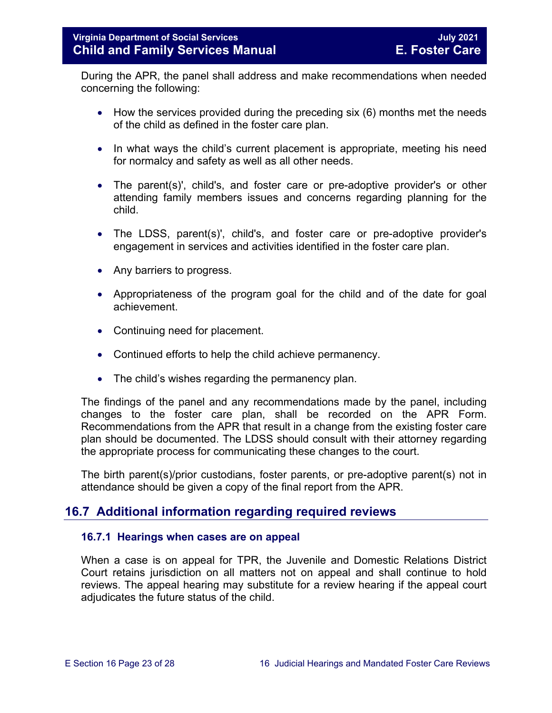During the APR, the panel shall address and make recommendations when needed concerning the following:

- How the services provided during the preceding six (6) months met the needs of the child as defined in the foster care plan.
- In what ways the child's current placement is appropriate, meeting his need for normalcy and safety as well as all other needs.
- The parent(s)', child's, and foster care or pre-adoptive provider's or other attending family members issues and concerns regarding planning for the child.
- The LDSS, parent(s)', child's, and foster care or pre-adoptive provider's engagement in services and activities identified in the foster care plan.
- Any barriers to progress.
- Appropriateness of the program goal for the child and of the date for goal achievement.
- Continuing need for placement.
- Continued efforts to help the child achieve permanency.
- The child's wishes regarding the permanency plan.

The findings of the panel and any recommendations made by the panel, including changes to the foster care plan, shall be recorded on the APR Form. Recommendations from the APR that result in a change from the existing foster care plan should be documented. The LDSS should consult with their attorney regarding the appropriate process for communicating these changes to the court.

The birth parent(s)/prior custodians, foster parents, or pre-adoptive parent(s) not in attendance should be given a copy of the final report from the APR.

## <span id="page-22-0"></span>**16.7 Additional information regarding required reviews**

#### <span id="page-22-1"></span>**16.7.1 Hearings when cases are on appeal**

When a case is on appeal for TPR, the Juvenile and Domestic Relations District Court retains jurisdiction on all matters not on appeal and shall continue to hold reviews. The appeal hearing may substitute for a review hearing if the appeal court adjudicates the future status of the child.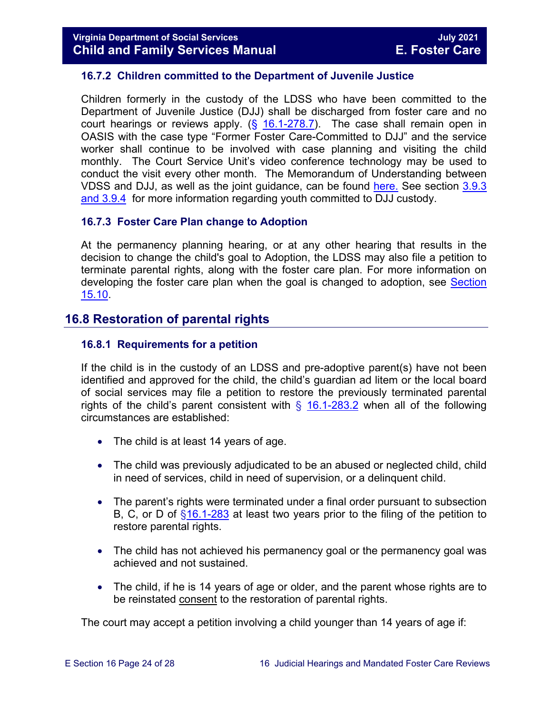#### <span id="page-23-0"></span>**16.7.2 Children committed to the Department of Juvenile Justice**

Children formerly in the custody of the LDSS who have been committed to the Department of Juvenile Justice (DJJ) shall be discharged from foster care and no court hearings or reviews apply.  $(\frac{6}{16.1} - 278.7)$ . The case shall remain open in OASIS with the case type "Former Foster Care-Committed to DJJ" and the service worker shall continue to be involved with case planning and visiting the child monthly. The Court Service Unit's video conference technology may be used to conduct the visit every other month. The Memorandum of Understanding between VDSS and DJJ, as well as the joint guidance, can be found [here.](https://fusion.dss.virginia.gov/dfs/DFS-Home/Foster-Care/Juvenile-Justice) See section [3.9.3](https://fusion.dss.virginia.gov/Portals/%5bdfs%5d/Files/DFS%20Manuals/Foster%20Care%20Manuals/Foster%20Care%20Manual%2007-2020/Final%20Foster%20Care%20Manual%2007-2020/section_3_entering_foster_care.pdf#page=30)  [and 3.9.4](https://fusion.dss.virginia.gov/Portals/%5bdfs%5d/Files/DFS%20Manuals/Foster%20Care%20Manuals/Foster%20Care%20Manual%2007-2020/Final%20Foster%20Care%20Manual%2007-2020/section_3_entering_foster_care.pdf#page=30) for more information regarding youth committed to DJJ custody.

#### <span id="page-23-1"></span>**16.7.3 Foster Care Plan change to Adoption**

At the permanency planning hearing, or at any other hearing that results in the decision to change the child's goal to Adoption, the LDSS may also file a petition to terminate parental rights, along with the foster care plan. For more information on developing the foster care plan when the goal is changed to adoption, see [Section](https://fusion.dss.virginia.gov/Portals/%5bdfs%5d/Files/DFS%20Manuals/Foster%20Care%20Manuals/Foster%20Care%20Manual%2007-2020/Final%20Foster%20Care%20Manual%2007-2020/section_15_developing_service_plan.pdf#page=14)  [15.10.](https://fusion.dss.virginia.gov/Portals/%5bdfs%5d/Files/DFS%20Manuals/Foster%20Care%20Manuals/Foster%20Care%20Manual%2007-2020/Final%20Foster%20Care%20Manual%2007-2020/section_15_developing_service_plan.pdf#page=14)

#### <span id="page-23-2"></span>**16.8 Restoration of parental rights**

#### <span id="page-23-3"></span>**16.8.1 Requirements for a petition**

If the child is in the custody of an LDSS and pre-adoptive parent(s) have not been identified and approved for the child, the child's guardian ad litem or the local board of social services may file a petition to restore the previously terminated parental rights of the child's parent consistent with  $\S$  [16.1-283.2](https://law.lis.virginia.gov/vacode/16.1-283.2/) when all of the following circumstances are established:

- The child is at least 14 years of age.
- The child was previously adjudicated to be an abused or neglected child, child in need of services, child in need of supervision, or a delinquent child.
- The parent's rights were terminated under a final order pursuant to subsection B, C, or D of  $\S$ 16.1-283 at least two years prior to the filing of the petition to restore parental rights.
- The child has not achieved his permanency goal or the permanency goal was achieved and not sustained.
- The child, if he is 14 years of age or older, and the parent whose rights are to be reinstated consent to the restoration of parental rights.

The court may accept a petition involving a child younger than 14 years of age if: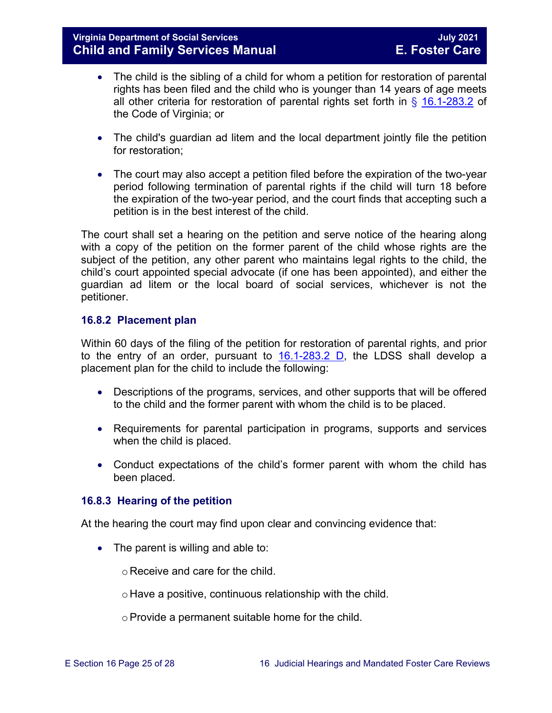- The child is the sibling of a child for whom a petition for restoration of parental rights has been filed and the child who is younger than 14 years of age meets all other criteria for restoration of parental rights set forth in  $\S$  [16.1-283.2](https://law.lis.virginia.gov/vacode/title16.1/chapter11/section16.1-283.2/) of the Code of Virginia; or
- The child's guardian ad litem and the local department jointly file the petition for restoration;
- The court may also accept a petition filed before the expiration of the two-year period following termination of parental rights if the child will turn 18 before the expiration of the two-year period, and the court finds that accepting such a petition is in the best interest of the child.

The court shall set a hearing on the petition and serve notice of the hearing along with a copy of the petition on the former parent of the child whose rights are the subject of the petition, any other parent who maintains legal rights to the child, the child's court appointed special advocate (if one has been appointed), and either the guardian ad litem or the local board of social services, whichever is not the petitioner.

#### <span id="page-24-0"></span>**16.8.2 Placement plan**

Within 60 days of the filing of the petition for restoration of parental rights, and prior to the entry of an order, pursuant to [16.1-283.2 D,](https://law.lis.virginia.gov/vacode/title16.1/chapter11/section16.1-283.2/) the LDSS shall develop a placement plan for the child to include the following:

- Descriptions of the programs, services, and other supports that will be offered to the child and the former parent with whom the child is to be placed.
- Requirements for parental participation in programs, supports and services when the child is placed.
- Conduct expectations of the child's former parent with whom the child has been placed.

#### <span id="page-24-1"></span>**16.8.3 Hearing of the petition**

At the hearing the court may find upon clear and convincing evidence that:

• The parent is willing and able to:

o Receive and care for the child.

o Have a positive, continuous relationship with the child.

oProvide a permanent suitable home for the child.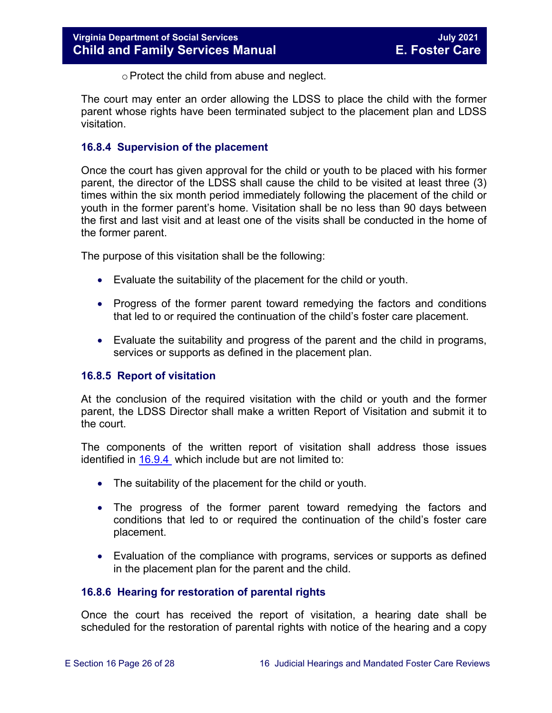o Protect the child from abuse and neglect.

The court may enter an order allowing the LDSS to place the child with the former parent whose rights have been terminated subject to the placement plan and LDSS visitation.

#### <span id="page-25-0"></span>**16.8.4 Supervision of the placement**

Once the court has given approval for the child or youth to be placed with his former parent, the director of the LDSS shall cause the child to be visited at least three (3) times within the six month period immediately following the placement of the child or youth in the former parent's home. Visitation shall be no less than 90 days between the first and last visit and at least one of the visits shall be conducted in the home of the former parent.

The purpose of this visitation shall be the following:

- Evaluate the suitability of the placement for the child or youth.
- Progress of the former parent toward remedying the factors and conditions that led to or required the continuation of the child's foster care placement.
- Evaluate the suitability and progress of the parent and the child in programs, services or supports as defined in the placement plan.

#### <span id="page-25-1"></span>**16.8.5 Report of visitation**

At the conclusion of the required visitation with the child or youth and the former parent, the LDSS Director shall make a written Report of Visitation and submit it to the court.

The components of the written report of visitation shall address those issues identified in  $16.9.4$  which include but are not limited to:

- The suitability of the placement for the child or youth.
- The progress of the former parent toward remedying the factors and conditions that led to or required the continuation of the child's foster care placement.
- Evaluation of the compliance with programs, services or supports as defined in the placement plan for the parent and the child.

#### <span id="page-25-2"></span>**16.8.6 Hearing for restoration of parental rights**

Once the court has received the report of visitation, a hearing date shall be scheduled for the restoration of parental rights with notice of the hearing and a copy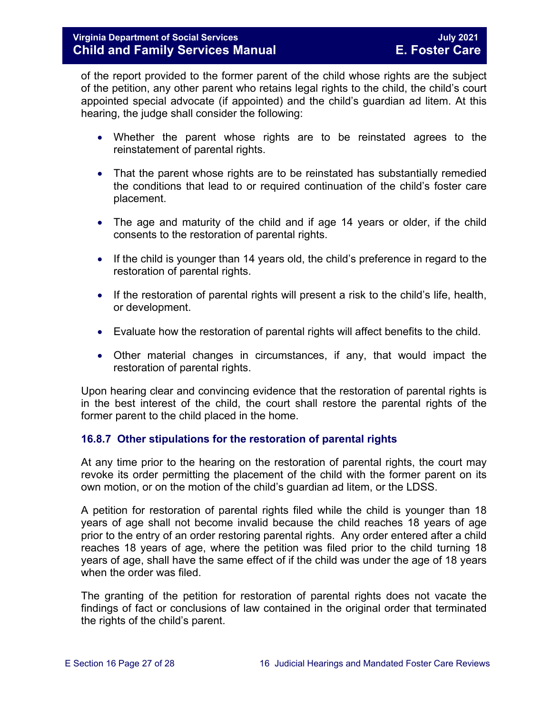of the report provided to the former parent of the child whose rights are the subject of the petition, any other parent who retains legal rights to the child, the child's court appointed special advocate (if appointed) and the child's guardian ad litem. At this hearing, the judge shall consider the following:

- Whether the parent whose rights are to be reinstated agrees to the reinstatement of parental rights.
- That the parent whose rights are to be reinstated has substantially remedied the conditions that lead to or required continuation of the child's foster care placement.
- The age and maturity of the child and if age 14 years or older, if the child consents to the restoration of parental rights.
- If the child is younger than 14 years old, the child's preference in regard to the restoration of parental rights.
- If the restoration of parental rights will present a risk to the child's life, health, or development.
- Evaluate how the restoration of parental rights will affect benefits to the child.
- Other material changes in circumstances, if any, that would impact the restoration of parental rights.

Upon hearing clear and convincing evidence that the restoration of parental rights is in the best interest of the child, the court shall restore the parental rights of the former parent to the child placed in the home.

#### <span id="page-26-0"></span>**16.8.7 Other stipulations for the restoration of parental rights**

At any time prior to the hearing on the restoration of parental rights, the court may revoke its order permitting the placement of the child with the former parent on its own motion, or on the motion of the child's guardian ad litem, or the LDSS.

A petition for restoration of parental rights filed while the child is younger than 18 years of age shall not become invalid because the child reaches 18 years of age prior to the entry of an order restoring parental rights. Any order entered after a child reaches 18 years of age, where the petition was filed prior to the child turning 18 years of age, shall have the same effect of if the child was under the age of 18 years when the order was filed.

The granting of the petition for restoration of parental rights does not vacate the findings of fact or conclusions of law contained in the original order that terminated the rights of the child's parent.